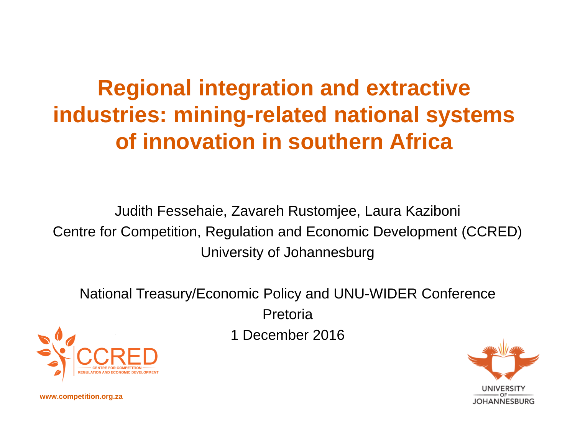#### **Regional integration and extractive industries: mining-related national systems of innovation in southern Africa**

Judith Fessehaie, Zavareh Rustomjee, Laura Kaziboni Centre for Competition, Regulation and Economic Development (CCRED) University of Johannesburg

National Treasury/Economic Policy and UNU-WIDER Conference Pretoria

1 December 2016





**www.competition.org.za**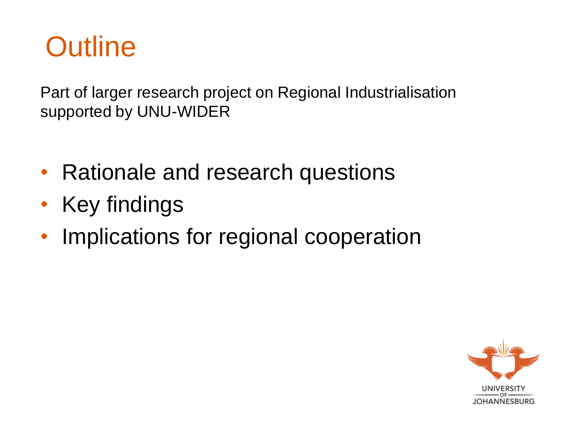

Part of larger research project on Regional Industrialisation supported by UNU-WIDER

- Rationale and research questions
- Key findings
- Implications for regional cooperation

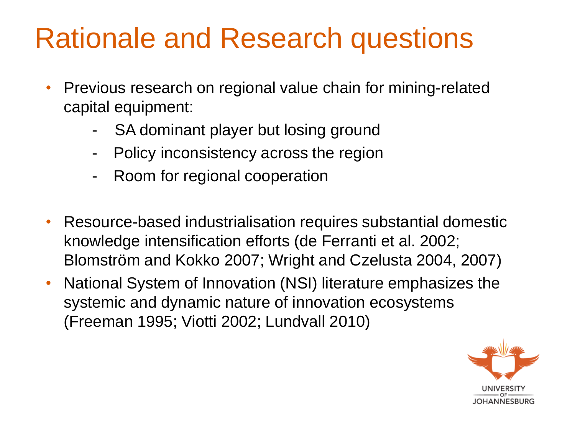# Rationale and Research questions

- Previous research on regional value chain for mining-related capital equipment:
	- SA dominant player but losing ground
	- Policy inconsistency across the region
	- Room for regional cooperation
- Resource-based industrialisation requires substantial domestic knowledge intensification efforts (de Ferranti et al. 2002; Blomström and Kokko 2007; Wright and Czelusta 2004, 2007)
- National System of Innovation (NSI) literature emphasizes the systemic and dynamic nature of innovation ecosystems (Freeman 1995; Viotti 2002; Lundvall 2010)

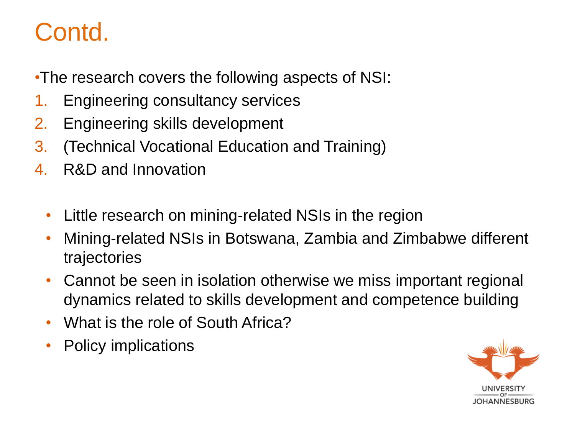#### Contd.

•The research covers the following aspects of NSI:

- 1. Engineering consultancy services
- 2. Engineering skills development
- 3. (Technical Vocational Education and Training)
- 4. R&D and Innovation
	- Little research on mining-related NSIs in the region
	- Mining-related NSIs in Botswana, Zambia and Zimbabwe different trajectories
	- Cannot be seen in isolation otherwise we miss important regional dynamics related to skills development and competence building
	- What is the role of South Africa?
	- Policy implications

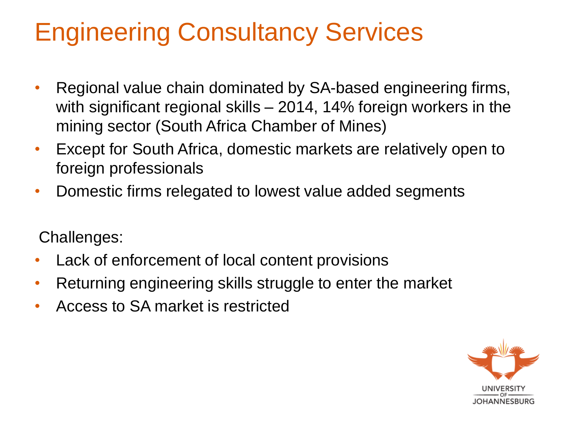## Engineering Consultancy Services

- Regional value chain dominated by SA-based engineering firms, with significant regional skills – 2014, 14% foreign workers in the mining sector (South Africa Chamber of Mines)
- Except for South Africa, domestic markets are relatively open to foreign professionals
- Domestic firms relegated to lowest value added segments

Challenges:

- Lack of enforcement of local content provisions
- Returning engineering skills struggle to enter the market
- Access to SA market is restricted

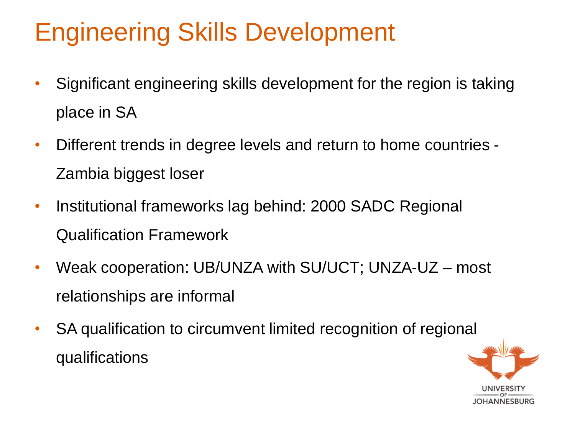#### Engineering Skills Development

- Significant engineering skills development for the region is taking place in SA
- Different trends in degree levels and return to home countries Zambia biggest loser
- Institutional frameworks lag behind: 2000 SADC Regional Qualification Framework
- Weak cooperation: UB/UNZA with SU/UCT; UNZA-UZ most relationships are informal
- SA qualification to circumvent limited recognition of regional qualifications

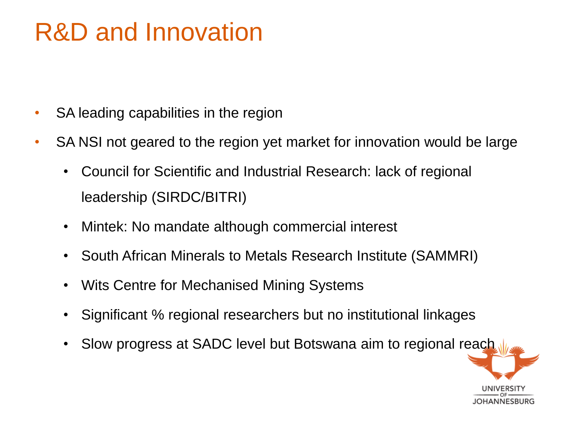#### R&D and Innovation

- SA leading capabilities in the region
- SA NSI not geared to the region yet market for innovation would be large
	- Council for Scientific and Industrial Research: lack of regional leadership (SIRDC/BITRI)
	- Mintek: No mandate although commercial interest
	- South African Minerals to Metals Research Institute (SAMMRI)
	- Wits Centre for Mechanised Mining Systems
	- Significant % regional researchers but no institutional linkages
	- Slow progress at SADC level but Botswana aim to regional reach

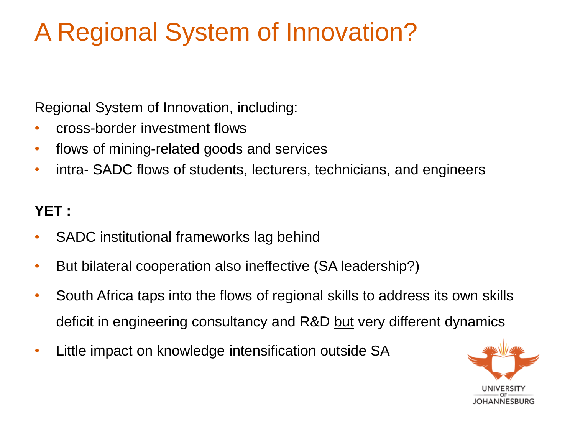## A Regional System of Innovation?

Regional System of Innovation, including:

- cross-border investment flows
- flows of mining-related goods and services
- intra- SADC flows of students, lecturers, technicians, and engineers

#### **YET :**

- SADC institutional frameworks lag behind
- But bilateral cooperation also ineffective (SA leadership?)
- South Africa taps into the flows of regional skills to address its own skills deficit in engineering consultancy and R&D but very different dynamics
- Little impact on knowledge intensification outside SA